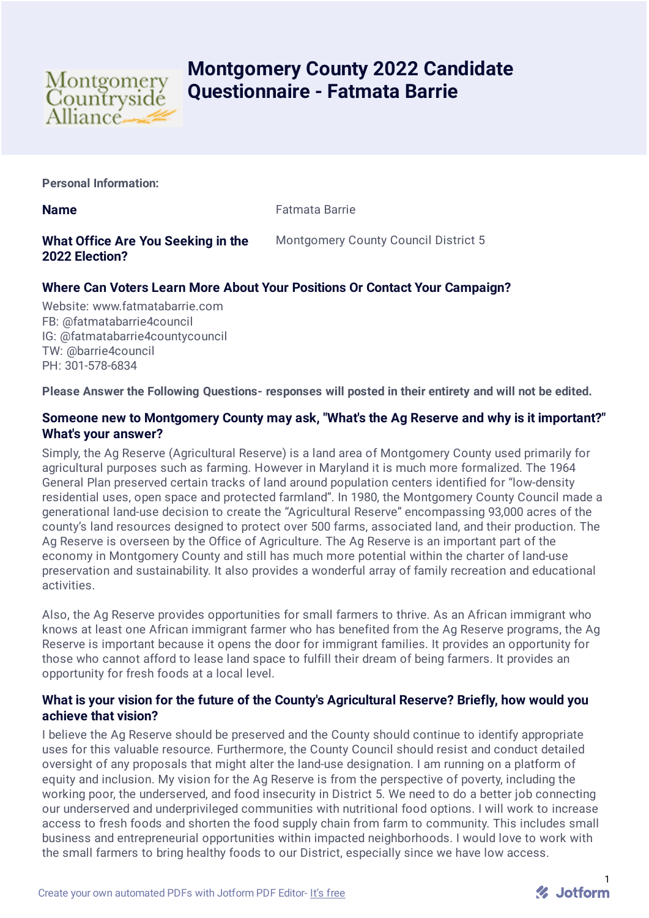

# **Montgomery County 2022 Candidate Questionnaire - Fatmata Barrie**

**Personal Information:**

**Name Fatmata Barrie** 

## **What Office Are You Seeking in the 2022 Election?**

Montgomery County Council District 5

# **Where Can Voters Learn More About Your Positions Or Contact Your Campaign?**

Website: www.fatmatabarrie.com FB: @fatmatabarrie4council IG: @fatmatabarrie4countycouncil TW: @barrie4council PH: 301-578-6834

**Please Answer the Following Questions- responses will posted in their entirety and will not be edited.**

## **Someone new to Montgomery County may ask, "What's the Ag Reserve and why is it important?" What's your answer?**

Simply, the Ag Reserve (Agricultural Reserve) is a land area of Montgomery County used primarily for agricultural purposes such as farming. However in Maryland it is much more formalized. The 1964 General Plan preserved certain tracks of land around population centers identified for "low-density residential uses, open space and protected farmland". In 1980, the Montgomery County Council made a generational land-use decision to create the "Agricultural Reserve" encompassing 93,000 acres of the county's land resources designed to protect over 500 farms, associated land, and their production. The Ag Reserve is overseen by the Office of Agriculture. The Ag Reserve is an important part of the economy in Montgomery County and still has much more potential within the charter of land-use preservation and sustainability. It also provides a wonderful array of family recreation and educational activities.

Also, the Ag Reserve provides opportunities for small farmers to thrive. As an African immigrant who knows at least one African immigrant farmer who has benefited from the Ag Reserve programs, the Ag Reserve is important because it opens the door for immigrant families. It provides an opportunity for those who cannot afford to lease land space to fulfill their dream of being farmers. It provides an opportunity for fresh foods at a local level.

#### **What is your vision for the future of the County's Agricultural Reserve? Briefly, how would you achieve that vision?**

I believe the Ag Reserve should be preserved and the County should continue to identify appropriate uses for this valuable resource. Furthermore, the County Council should resist and conduct detailed oversight of any proposals that might alter the land-use designation. I am running on a platform of equity and inclusion. My vision for the Ag Reserve is from the perspective of poverty, including the working poor, the underserved, and food insecurity in District 5. We need to do a better job connecting our underserved and underprivileged communities with nutritional food options. I will work to increase access to fresh foods and shorten the food supply chain from farm to community. This includes small business and entrepreneurial opportunities within impacted neighborhoods. I would love to work with the small farmers to bring healthy foods to our District, especially since we have low access.

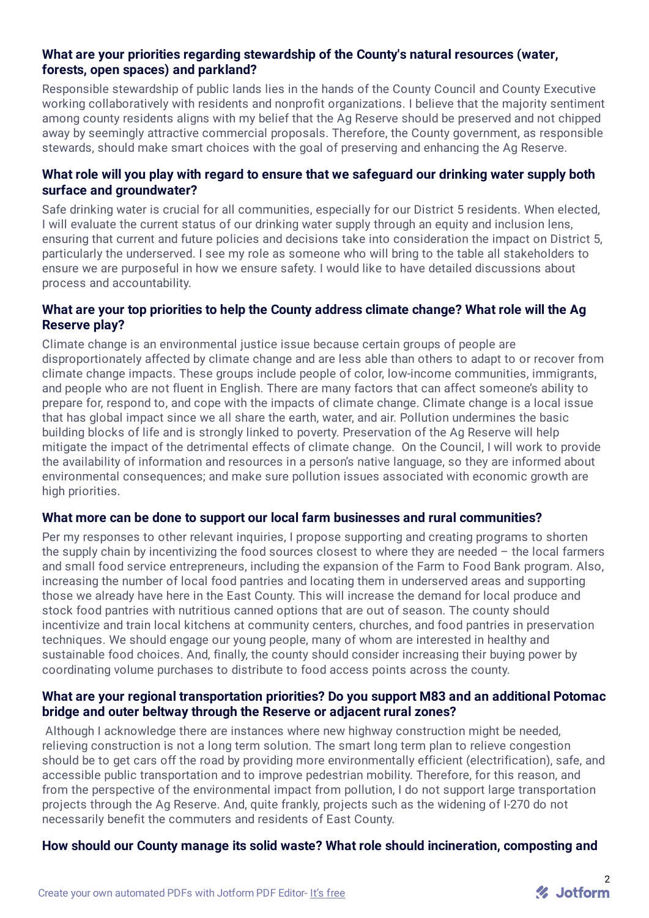#### **What are your priorities regarding stewardship of the County's natural resources (water, forests, open spaces) and parkland?**

Responsible stewardship of public lands lies in the hands of the County Council and County Executive working collaboratively with residents and nonprofit organizations. I believe that the majority sentiment among county residents aligns with my belief that the Ag Reserve should be preserved and not chipped away by seemingly attractive commercial proposals. Therefore, the County government, as responsible stewards, should make smart choices with the goal of preserving and enhancing the Ag Reserve.

#### **What role will you play with regard to ensure that we safeguard our drinking water supply both surface and groundwater?**

Safe drinking water is crucial for all communities, especially for our District 5 residents. When elected, I will evaluate the current status of our drinking water supply through an equity and inclusion lens, ensuring that current and future policies and decisions take into consideration the impact on District 5, particularly the underserved. I see my role as someone who will bring to the table all stakeholders to ensure we are purposeful in how we ensure safety. I would like to have detailed discussions about process and accountability.

#### **What are your top priorities to help the County address climate change? What role will the Ag Reserve play?**

Climate change is an environmental justice issue because certain groups of people are disproportionately affected by climate change and are less able than others to adapt to or recover from climate change impacts. These groups include people of color, low-income communities, immigrants, and people who are not fluent in English. There are many factors that can affect someone's ability to prepare for, respond to, and cope with the impacts of climate change. Climate change is a local issue that has global impact since we all share the earth, water, and air. Pollution undermines the basic building blocks of life and is strongly linked to poverty. Preservation of the Ag Reserve will help mitigate the impact of the detrimental effects of climate change. On the Council, I will work to provide the availability of information and resources in a person's native language, so they are informed about environmental consequences; and make sure pollution issues associated with economic growth are high priorities.

#### **What more can be done to support our local farm businesses and rural communities?**

Per my responses to other relevant inquiries, I propose supporting and creating programs to shorten the supply chain by incentivizing the food sources closest to where they are needed – the local farmers and small food service entrepreneurs, including the expansion of the Farm to Food Bank program. Also, increasing the number of local food pantries and locating them in underserved areas and supporting those we already have here in the East County. This will increase the demand for local produce and stock food pantries with nutritious canned options that are out of season. The county should incentivize and train local kitchens at community centers, churches, and food pantries in preservation techniques. We should engage our young people, many of whom are interested in healthy and sustainable food choices. And, finally, the county should consider increasing their buying power by coordinating volume purchases to distribute to food access points across the county.

#### **What are your regional transportation priorities? Do you support M83 and an additional Potomac bridge and outer beltway through the Reserve or adjacent rural zones?**

Although I acknowledge there are instances where new highway construction might be needed, relieving construction is not a long term solution. The smart long term plan to relieve congestion should be to get cars off the road by providing more environmentally efficient (electrification), safe, and accessible public transportation and to improve pedestrian mobility. Therefore, for this reason, and from the perspective of the environmental impact from pollution, I do not support large transportation projects through the Ag Reserve. And, quite frankly, projects such as the widening of I-270 do not necessarily benefit the commuters and residents of East County.

#### **How should our County manage its solid waste? What role should incineration, composting and**